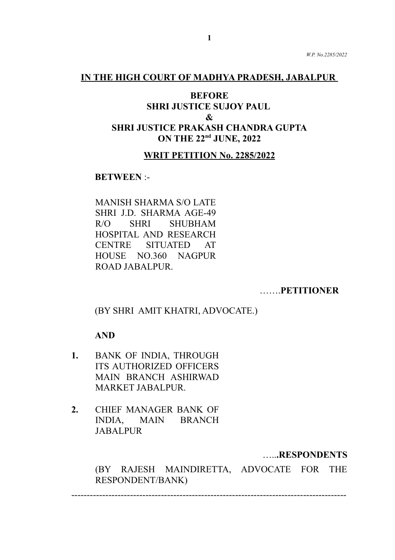#### **IN THE HIGH COURT OF MADHYA PRADESH, JABALPUR**

# **BEFORE SHRI JUSTICE SUJOY PAUL & SHRI JUSTICE PRAKASH CHANDRA GUPTA ON THE 22nd JUNE, 2022**

#### **WRIT PETITION No. 2285/2022**

#### **BETWEEN** :-

MANISH SHARMA S/O LATE SHRI J.D. SHARMA AGE-49 R/O SHRI SHUBHAM HOSPITAL AND RESEARCH CENTRE SITUATED AT HOUSE NO.360 NAGPUR ROAD JABALPUR.

…….**PETITIONER**

(BY SHRI AMIT KHATRI, ADVOCATE.)

#### **AND**

- **1.** BANK OF INDIA, THROUGH ITS AUTHORIZED OFFICERS MAIN BRANCH ASHIRWAD MARKET JABALPUR.
- **2.** CHIEF MANAGER BANK OF INDIA, MAIN BRANCH **JABALPUR**

…..**.RESPONDENTS**

(BY RAJESH MAINDIRETTA, ADVOCATE FOR THE RESPONDENT/BANK)

-----------------------------------------------------------------------------------------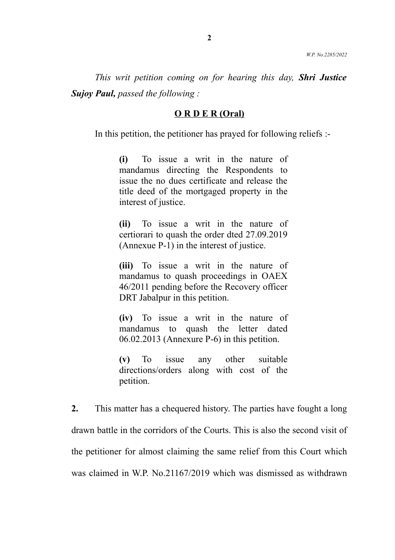*This writ petition coming on for hearing this day, Shri Justice Sujoy Paul, passed the following :*

#### **O R D E R (Oral)**

In this petition, the petitioner has prayed for following reliefs :-

**(i)** To issue a writ in the nature of mandamus directing the Respondents to issue the no dues certificate and release the title deed of the mortgaged property in the interest of justice.

**(ii)** To issue a writ in the nature of certiorari to quash the order dted 27.09.2019 (Annexue  $\overline{P-1}$ ) in the interest of justice.

**(iii)** To issue a writ in the nature of mandamus to quash proceedings in OAEX 46/2011 pending before the Recovery officer DRT Jabalpur in this petition.

**(iv)** To issue a writ in the nature of mandamus to quash the letter dated 06.02.2013 (Annexure P-6) in this petition.

**(v)** To issue any other suitable directions/orders along with cost of the petition.

**2.** This matter has a chequered history. The parties have fought a long drawn battle in the corridors of the Courts. This is also the second visit of the petitioner for almost claiming the same relief from this Court which was claimed in W.P. No.21167/2019 which was dismissed as withdrawn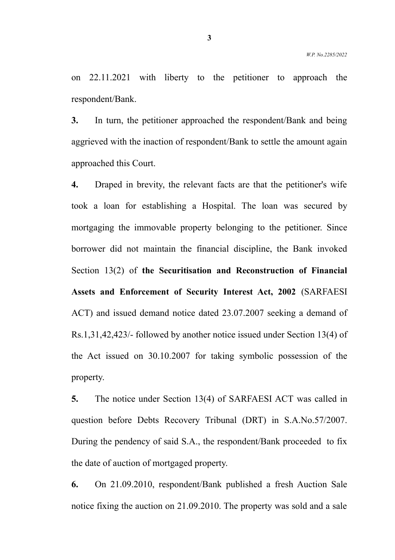on 22.11.2021 with liberty to the petitioner to approach the respondent/Bank.

**3.** In turn, the petitioner approached the respondent/Bank and being aggrieved with the inaction of respondent/Bank to settle the amount again approached this Court.

**4.** Draped in brevity, the relevant facts are that the petitioner's wife took a loan for establishing a Hospital. The loan was secured by mortgaging the immovable property belonging to the petitioner. Since borrower did not maintain the financial discipline, the Bank invoked Section 13(2) of **the Securitisation and Reconstruction of Financial Assets and Enforcement of Security Interest Act, 2002** (SARFAESI ACT) and issued demand notice dated 23.07.2007 seeking a demand of Rs.1,31,42,423/- followed by another notice issued under Section 13(4) of the Act issued on 30.10.2007 for taking symbolic possession of the property.

**5.** The notice under Section 13(4) of SARFAESI ACT was called in question before Debts Recovery Tribunal (DRT) in S.A.No.57/2007. During the pendency of said S.A., the respondent/Bank proceeded to fix the date of auction of mortgaged property.

**6.** On 21.09.2010, respondent/Bank published a fresh Auction Sale notice fixing the auction on 21.09.2010. The property was sold and a sale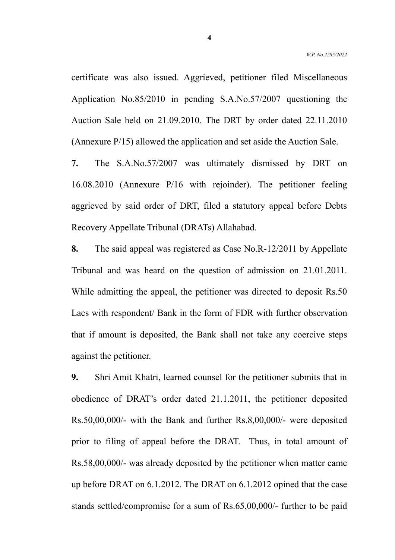certificate was also issued. Aggrieved, petitioner filed Miscellaneous Application No.85/2010 in pending S.A.No.57/2007 questioning the Auction Sale held on 21.09.2010. The DRT by order dated 22.11.2010 (Annexure P/15) allowed the application and set aside the Auction Sale.

**7.** The S.A.No.57/2007 was ultimately dismissed by DRT on 16.08.2010 (Annexure P/16 with rejoinder). The petitioner feeling aggrieved by said order of DRT, filed a statutory appeal before Debts Recovery Appellate Tribunal (DRATs) Allahabad.

**8.** The said appeal was registered as Case No.R-12/2011 by Appellate Tribunal and was heard on the question of admission on 21.01.2011. While admitting the appeal, the petitioner was directed to deposit Rs.50 Lacs with respondent/ Bank in the form of FDR with further observation that if amount is deposited, the Bank shall not take any coercive steps against the petitioner.

**9.** Shri Amit Khatri, learned counsel for the petitioner submits that in obedience of DRAT's order dated 21.1.2011, the petitioner deposited Rs.50,00,000/- with the Bank and further Rs.8,00,000/- were deposited prior to filing of appeal before the DRAT. Thus, in total amount of Rs.58,00,000/- was already deposited by the petitioner when matter came up before DRAT on 6.1.2012. The DRAT on 6.1.2012 opined that the case stands settled/compromise for a sum of Rs.65,00,000/- further to be paid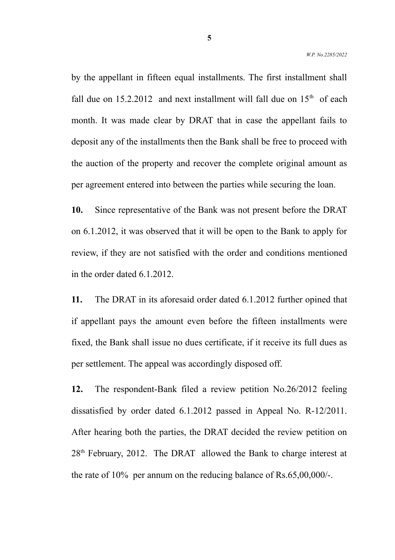by the appellant in fifteen equal installments. The first installment shall fall due on  $15.2.2012$  and next installment will fall due on  $15<sup>th</sup>$  of each month. It was made clear by DRAT that in case the appellant fails to deposit any of the installments then the Bank shall be free to proceed with the auction of the property and recover the complete original amount as per agreement entered into between the parties while securing the loan.

**10.** Since representative of the Bank was not present before the DRAT on 6.1.2012, it was observed that it will be open to the Bank to apply for review, if they are not satisfied with the order and conditions mentioned in the order dated 6.1.2012.

**11.** The DRAT in its aforesaid order dated 6.1.2012 further opined that if appellant pays the amount even before the fifteen installments were fixed, the Bank shall issue no dues certificate, if it receive its full dues as per settlement. The appeal was accordingly disposed off.

**12.** The respondent-Bank filed a review petition No.26/2012 feeling dissatisfied by order dated 6.1.2012 passed in Appeal No. R-12/2011. After hearing both the parties, the DRAT decided the review petition on  $28<sup>th</sup>$  February, 2012. The DRAT allowed the Bank to charge interest at the rate of 10% per annum on the reducing balance of Rs.65,00,000/-.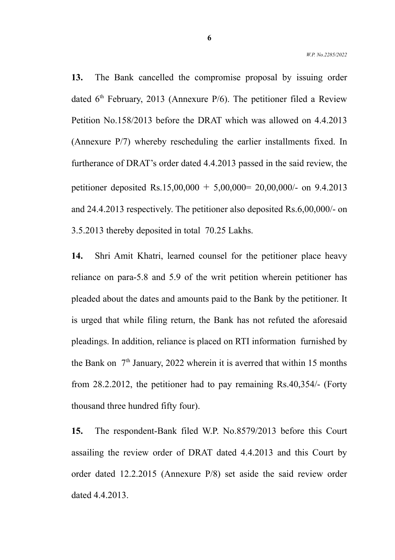**13.** The Bank cancelled the compromise proposal by issuing order dated  $6<sup>th</sup>$  February, 2013 (Annexure P/6). The petitioner filed a Review Petition No.158/2013 before the DRAT which was allowed on 4.4.2013 (Annexure P/7) whereby rescheduling the earlier installments fixed. In furtherance of DRAT's order dated 4.4.2013 passed in the said review, the petitioner deposited Rs.15,00,000 + 5,00,000 =  $20,00,000/$ - on 9.4.2013 and 24.4.2013 respectively. The petitioner also deposited Rs.6,00,000/- on 3.5.2013 thereby deposited in total 70.25 Lakhs.

**14.** Shri Amit Khatri, learned counsel for the petitioner place heavy reliance on para-5.8 and 5.9 of the writ petition wherein petitioner has pleaded about the dates and amounts paid to the Bank by the petitioner. It is urged that while filing return, the Bank has not refuted the aforesaid pleadings. In addition, reliance is placed on RTI information furnished by the Bank on  $7<sup>th</sup>$  January, 2022 wherein it is averred that within 15 months from 28.2.2012, the petitioner had to pay remaining Rs.40,354/- (Forty thousand three hundred fifty four).

**15.** The respondent-Bank filed W.P. No.8579/2013 before this Court assailing the review order of DRAT dated 4.4.2013 and this Court by order dated 12.2.2015 (Annexure P/8) set aside the said review order dated 4.4.2013.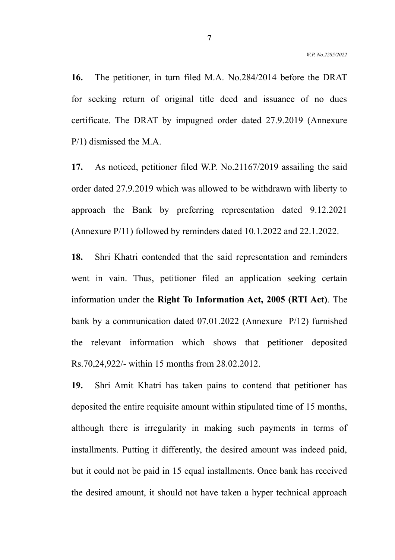**16.** The petitioner, in turn filed M.A. No.284/2014 before the DRAT for seeking return of original title deed and issuance of no dues certificate. The DRAT by impugned order dated 27.9.2019 (Annexure P/1) dismissed the M.A.

**17.** As noticed, petitioner filed W.P. No.21167/2019 assailing the said order dated 27.9.2019 which was allowed to be withdrawn with liberty to approach the Bank by preferring representation dated 9.12.2021 (Annexure P/11) followed by reminders dated 10.1.2022 and 22.1.2022.

**18.** Shri Khatri contended that the said representation and reminders went in vain. Thus, petitioner filed an application seeking certain information under the **Right To Information Act, 2005 (RTI Act)**. The bank by a communication dated 07.01.2022 (Annexure P/12) furnished the relevant information which shows that petitioner deposited Rs.70,24,922/- within 15 months from 28.02.2012.

**19.** Shri Amit Khatri has taken pains to contend that petitioner has deposited the entire requisite amount within stipulated time of 15 months, although there is irregularity in making such payments in terms of installments. Putting it differently, the desired amount was indeed paid, but it could not be paid in 15 equal installments. Once bank has received the desired amount, it should not have taken a hyper technical approach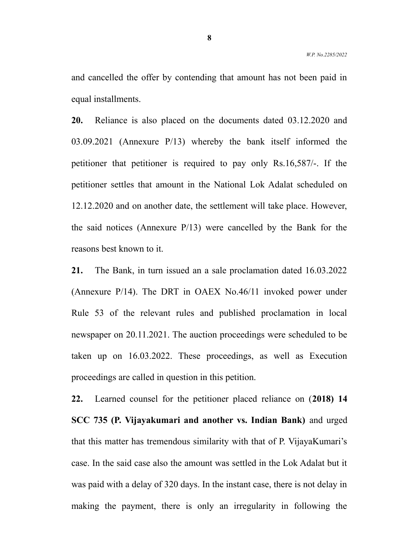and cancelled the offer by contending that amount has not been paid in equal installments.

**20.** Reliance is also placed on the documents dated 03.12.2020 and 03.09.2021 (Annexure P/13) whereby the bank itself informed the petitioner that petitioner is required to pay only Rs.16,587/-. If the petitioner settles that amount in the National Lok Adalat scheduled on 12.12.2020 and on another date, the settlement will take place. However, the said notices (Annexure P/13) were cancelled by the Bank for the reasons best known to it.

**21.** The Bank, in turn issued an a sale proclamation dated 16.03.2022 (Annexure P/14). The DRT in OAEX No.46/11 invoked power under Rule 53 of the relevant rules and published proclamation in local newspaper on 20.11.2021. The auction proceedings were scheduled to be taken up on 16.03.2022. These proceedings, as well as Execution proceedings are called in question in this petition.

**22.** Learned counsel for the petitioner placed reliance on (**2018) 14 SCC 735 (P. Vijayakumari and another vs. Indian Bank)** and urged that this matter has tremendous similarity with that of P. VijayaKumari's case. In the said case also the amount was settled in the Lok Adalat but it was paid with a delay of 320 days. In the instant case, there is not delay in making the payment, there is only an irregularity in following the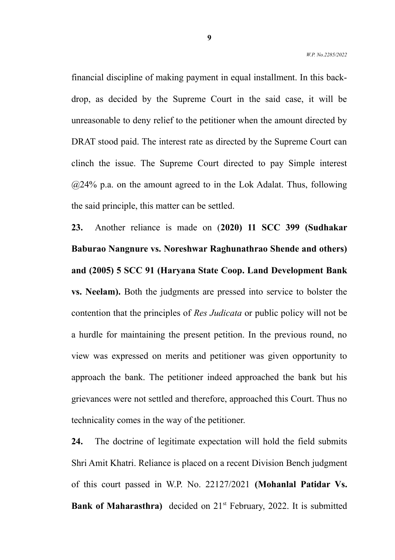financial discipline of making payment in equal installment. In this backdrop, as decided by the Supreme Court in the said case, it will be unreasonable to deny relief to the petitioner when the amount directed by DRAT stood paid. The interest rate as directed by the Supreme Court can clinch the issue. The Supreme Court directed to pay Simple interest  $@24\%$  p.a. on the amount agreed to in the Lok Adalat. Thus, following the said principle, this matter can be settled.

**23.** Another reliance is made on (**2020) 11 SCC 399 (Sudhakar Baburao Nangnure vs. Noreshwar Raghunathrao Shende and others) and (2005) 5 SCC 91 (Haryana State Coop. Land Development Bank vs. Neelam).** Both the judgments are pressed into service to bolster the contention that the principles of *Res Judicata* or public policy will not be a hurdle for maintaining the present petition. In the previous round, no view was expressed on merits and petitioner was given opportunity to approach the bank. The petitioner indeed approached the bank but his grievances were not settled and therefore, approached this Court. Thus no technicality comes in the way of the petitioner.

**24.** The doctrine of legitimate expectation will hold the field submits Shri Amit Khatri. Reliance is placed on a recent Division Bench judgment of this court passed in W.P. No. 22127/2021 **(Mohanlal Patidar Vs. Bank of Maharasthra)** decided on 21<sup>st</sup> February, 2022. It is submitted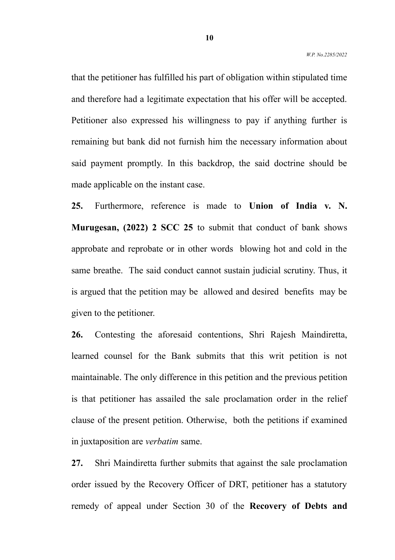that the petitioner has fulfilled his part of obligation within stipulated time and therefore had a legitimate expectation that his offer will be accepted. Petitioner also expressed his willingness to pay if anything further is remaining but bank did not furnish him the necessary information about said payment promptly. In this backdrop, the said doctrine should be made applicable on the instant case.

**25.** Furthermore, reference is made to **Union of India v. N. Murugesan, (2022) 2 SCC 25** to submit that conduct of bank shows approbate and reprobate or in other words blowing hot and cold in the same breathe. The said conduct cannot sustain judicial scrutiny. Thus, it is argued that the petition may be allowed and desired benefits may be given to the petitioner.

**26.** Contesting the aforesaid contentions, Shri Rajesh Maindiretta, learned counsel for the Bank submits that this writ petition is not maintainable. The only difference in this petition and the previous petition is that petitioner has assailed the sale proclamation order in the relief clause of the present petition. Otherwise, both the petitions if examined in juxtaposition are *verbatim* same.

**27.** Shri Maindiretta further submits that against the sale proclamation order issued by the Recovery Officer of DRT, petitioner has a statutory remedy of appeal under Section 30 of the **Recovery of Debts and**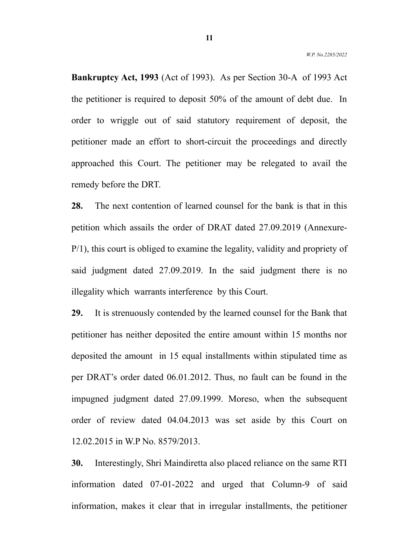**Bankruptcy Act, 1993** (Act of 1993). As per Section 30-A of 1993 Act the petitioner is required to deposit 50% of the amount of debt due. In order to wriggle out of said statutory requirement of deposit, the petitioner made an effort to short-circuit the proceedings and directly approached this Court. The petitioner may be relegated to avail the remedy before the DRT.

**28.** The next contention of learned counsel for the bank is that in this petition which assails the order of DRAT dated 27.09.2019 (Annexure-P/1), this court is obliged to examine the legality, validity and propriety of said judgment dated 27.09.2019. In the said judgment there is no illegality which warrants interference by this Court.

**29.** It is strenuously contended by the learned counsel for the Bank that petitioner has neither deposited the entire amount within 15 months nor deposited the amount in 15 equal installments within stipulated time as per DRAT's order dated 06.01.2012. Thus, no fault can be found in the impugned judgment dated 27.09.1999. Moreso, when the subsequent order of review dated 04.04.2013 was set aside by this Court on 12.02.2015 in W.P No. 8579/2013.

**30.** Interestingly, Shri Maindiretta also placed reliance on the same RTI information dated 07-01-2022 and urged that Column-9 of said information, makes it clear that in irregular installments, the petitioner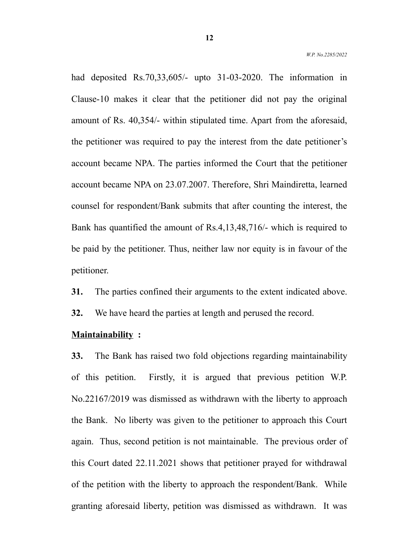had deposited Rs. 70, 33, 605/- upto 31-03-2020. The information in Clause-10 makes it clear that the petitioner did not pay the original amount of Rs. 40,354/- within stipulated time. Apart from the aforesaid, the petitioner was required to pay the interest from the date petitioner's account became NPA. The parties informed the Court that the petitioner account became NPA on 23.07.2007. Therefore, Shri Maindiretta, learned counsel for respondent/Bank submits that after counting the interest, the Bank has quantified the amount of Rs.4,13,48,716/- which is required to be paid by the petitioner. Thus, neither law nor equity is in favour of the petitioner.

**31.** The parties confined their arguments to the extent indicated above.

**32.** We have heard the parties at length and perused the record.

#### **Maintainability :**

**33.** The Bank has raised two fold objections regarding maintainability of this petition. Firstly, it is argued that previous petition W.P. No.22167/2019 was dismissed as withdrawn with the liberty to approach the Bank. No liberty was given to the petitioner to approach this Court again. Thus, second petition is not maintainable. The previous order of this Court dated 22.11.2021 shows that petitioner prayed for withdrawal of the petition with the liberty to approach the respondent/Bank. While granting aforesaid liberty, petition was dismissed as withdrawn. It was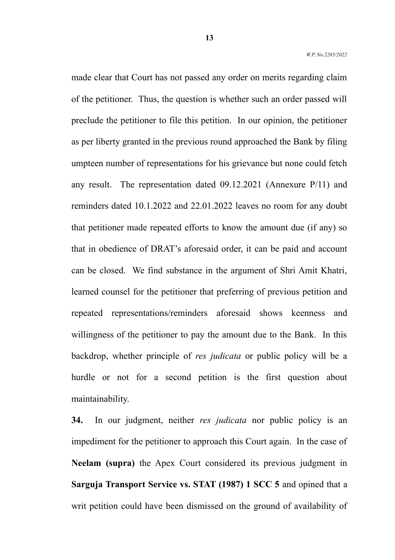made clear that Court has not passed any order on merits regarding claim of the petitioner. Thus, the question is whether such an order passed will preclude the petitioner to file this petition. In our opinion, the petitioner as per liberty granted in the previous round approached the Bank by filing umpteen number of representations for his grievance but none could fetch any result. The representation dated 09.12.2021 (Annexure P/11) and reminders dated 10.1.2022 and 22.01.2022 leaves no room for any doubt that petitioner made repeated efforts to know the amount due (if any) so that in obedience of DRAT's aforesaid order, it can be paid and account can be closed. We find substance in the argument of Shri Amit Khatri, learned counsel for the petitioner that preferring of previous petition and repeated representations/reminders aforesaid shows keenness and willingness of the petitioner to pay the amount due to the Bank. In this backdrop, whether principle of *res judicata* or public policy will be a hurdle or not for a second petition is the first question about maintainability.

**34.** In our judgment, neither *res judicata* nor public policy is an impediment for the petitioner to approach this Court again. In the case of **Neelam (supra)** the Apex Court considered its previous judgment in **Sarguja Transport Service vs. STAT (1987) 1 SCC 5** and opined that a writ petition could have been dismissed on the ground of availability of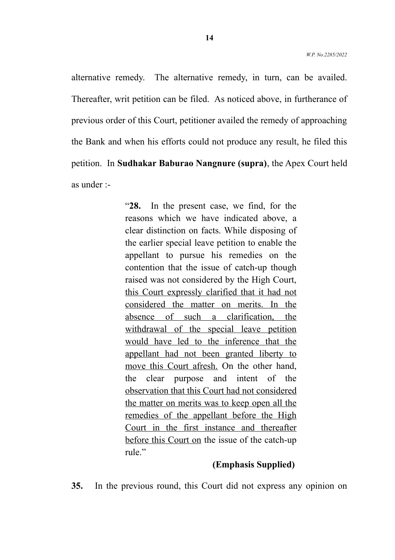alternative remedy. The alternative remedy, in turn, can be availed. Thereafter, writ petition can be filed. As noticed above, in furtherance of previous order of this Court, petitioner availed the remedy of approaching the Bank and when his efforts could not produce any result, he filed this petition. In **Sudhakar Baburao Nangnure (supra)**, the Apex Court held as under :-

> "**28.** In the present case, we find, for the reasons which we have indicated above, a clear distinction on facts. While disposing of the earlier special leave petition to enable the appellant to pursue his remedies on the contention that the issue of catch-up though raised was not considered by the High Court, this Court expressly clarified that it had not considered the matter on merits. In the absence of such a clarification, the withdrawal of the special leave petition would have led to the inference that the appellant had not been granted liberty to move this Court afresh. On the other hand, the clear purpose and intent of the observation that this Court had not considered the matter on merits was to keep open all the remedies of the appellant before the High Court in the first instance and thereafter before this Court on the issue of the catch-up rule."

### **(Emphasis Supplied)**

**35.** In the previous round, this Court did not express any opinion on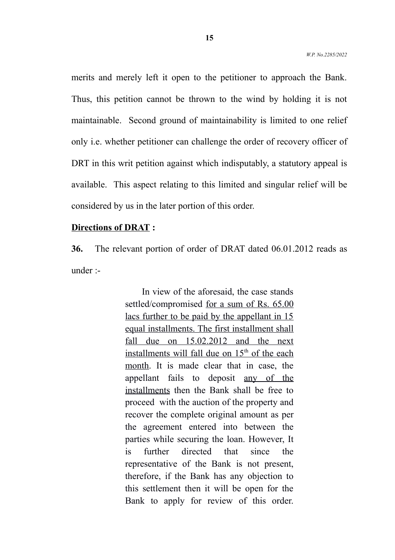merits and merely left it open to the petitioner to approach the Bank. Thus, this petition cannot be thrown to the wind by holding it is not maintainable. Second ground of maintainability is limited to one relief only i.e. whether petitioner can challenge the order of recovery officer of DRT in this writ petition against which indisputably, a statutory appeal is available. This aspect relating to this limited and singular relief will be considered by us in the later portion of this order.

#### **Directions of DRAT :**

**36.** The relevant portion of order of DRAT dated 06.01.2012 reads as under :-

> In view of the aforesaid, the case stands settled/compromised for a sum of Rs. 65.00 lacs further to be paid by the appellant in 15 equal installments. The first installment shall fall due on  $15.02.2012$  and the next installments will fall due on  $15<sup>th</sup>$  of the each month. It is made clear that in case, the appellant fails to deposit any of the installments then the Bank shall be free to proceed with the auction of the property and recover the complete original amount as per the agreement entered into between the parties while securing the loan. However, It is further directed that since the representative of the Bank is not present, therefore, if the Bank has any objection to this settlement then it will be open for the Bank to apply for review of this order.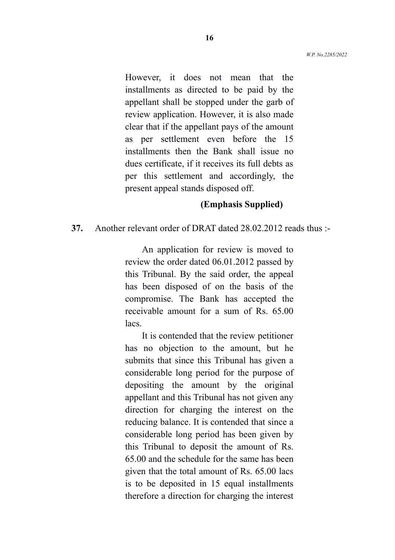However, it does not mean that the installments as directed to be paid by the appellant shall be stopped under the garb of review application. However, it is also made clear that if the appellant pays of the amount as per settlement even before the 15 installments then the Bank shall issue no dues certificate, if it receives its full debts as per this settlement and accordingly, the present appeal stands disposed off.

#### **(Emphasis Supplied)**

#### **37.** Another relevant order of DRAT dated 28.02.2012 reads thus :-

An application for review is moved to review the order dated 06.01.2012 passed by this Tribunal. By the said order, the appeal has been disposed of on the basis of the compromise. The Bank has accepted the receivable amount for a sum of Rs. 65.00 lacs.

It is contended that the review petitioner has no objection to the amount, but he submits that since this Tribunal has given a considerable long period for the purpose of depositing the amount by the original appellant and this Tribunal has not given any direction for charging the interest on the reducing balance. It is contended that since a considerable long period has been given by this Tribunal to deposit the amount of Rs. 65.00 and the schedule for the same has been given that the total amount of Rs. 65.00 lacs is to be deposited in 15 equal installments therefore a direction for charging the interest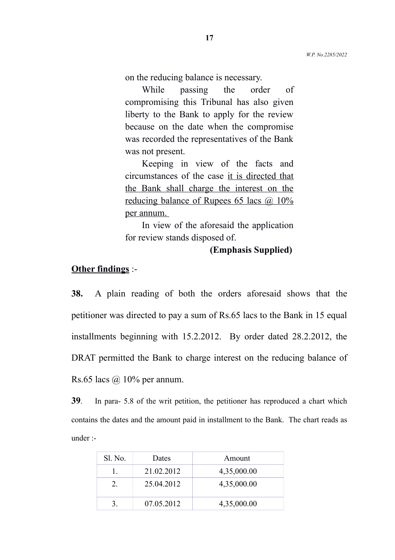on the reducing balance is necessary.

While passing the order of compromising this Tribunal has also given liberty to the Bank to apply for the review because on the date when the compromise was recorded the representatives of the Bank was not present.

Keeping in view of the facts and circumstances of the case it is directed that the Bank shall charge the interest on the reducing balance of Rupees 65 lacs @ 10% per annum.

In view of the aforesaid the application for review stands disposed of.

#### **(Emphasis Supplied)**

#### **Other findings** :-

**38.** A plain reading of both the orders aforesaid shows that the petitioner was directed to pay a sum of Rs.65 lacs to the Bank in 15 equal installments beginning with 15.2.2012. By order dated 28.2.2012, the DRAT permitted the Bank to charge interest on the reducing balance of Rs.65 lacs  $\omega$  10% per annum.

**39**. In para- 5.8 of the writ petition, the petitioner has reproduced a chart which contains the dates and the amount paid in installment to the Bank. The chart reads as under :-

| Sl. No. | Dates      | Amount      |
|---------|------------|-------------|
|         | 21.02.2012 | 4,35,000.00 |
|         | 25.04.2012 | 4,35,000.00 |
|         | 07.05.2012 | 4,35,000.00 |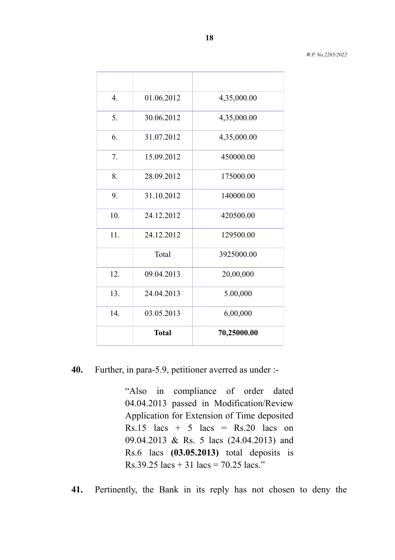| $\overline{4}$ . | 01.06.2012   | 4,35,000.00 |
|------------------|--------------|-------------|
| 5.               | 30.06.2012   | 4,35,000.00 |
| 6.               | 31.07.2012   | 4,35,000.00 |
| 7.               | 15.09.2012   | 450000.00   |
| 8.               | 28.09.2012   | 175000.00   |
| 9.               | 31.10.2012   | 140000.00   |
| 10.              | 24.12.2012   | 420500.00   |
| 11.              | 24.12.2012   | 129500.00   |
|                  | Total        | 3925000.00  |
| 12.              | 09.04.2013   | 20,00,000   |
| 13.              | 24.04.2013   | 5.00,000    |
| 14.              | 03.05.2013   | 6,00,000    |
|                  | <b>Total</b> | 70,25000.00 |

# **40.** Further, in para-5.9, petitioner averred as under :-

"Also in compliance of order dated 04.04.2013 passed in Modification/Review Application for Extension of Time deposited Rs.15 lacs + 5 lacs = Rs.20 lacs on 09.04.2013 & Rs. 5 lacs (24.04.2013) and Rs.6 lacs **(03.05.2013)** total deposits is Rs.39.25 lacs + 31 lacs = 70.25 lacs."

**41.** Pertinently, the Bank in its reply has not chosen to deny the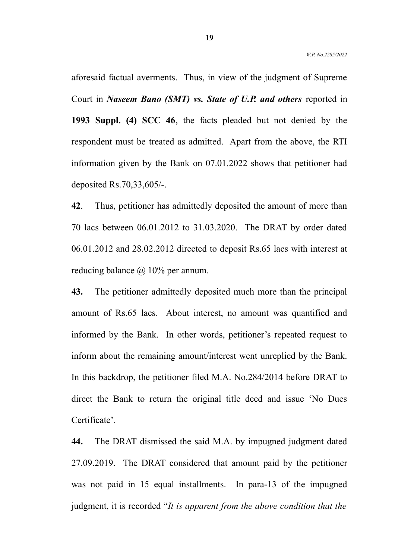aforesaid factual averments. Thus, in view of the judgment of Supreme Court in *Naseem Bano (SMT) vs. State of U.P. and others* reported in **1993 Suppl. (4) SCC 46**, the facts pleaded but not denied by the respondent must be treated as admitted. Apart from the above, the RTI information given by the Bank on 07.01.2022 shows that petitioner had deposited Rs.70,33,605/-.

**42**. Thus, petitioner has admittedly deposited the amount of more than 70 lacs between 06.01.2012 to 31.03.2020. The DRAT by order dated 06.01.2012 and 28.02.2012 directed to deposit Rs.65 lacs with interest at reducing balance  $\omega$  10% per annum.

**43.** The petitioner admittedly deposited much more than the principal amount of Rs.65 lacs. About interest, no amount was quantified and informed by the Bank. In other words, petitioner's repeated request to inform about the remaining amount/interest went unreplied by the Bank. In this backdrop, the petitioner filed M.A. No.284/2014 before DRAT to direct the Bank to return the original title deed and issue 'No Dues Certificate'.

**44.** The DRAT dismissed the said M.A. by impugned judgment dated 27.09.2019. The DRAT considered that amount paid by the petitioner was not paid in 15 equal installments. In para-13 of the impugned judgment, it is recorded "*It is apparent from the above condition that the*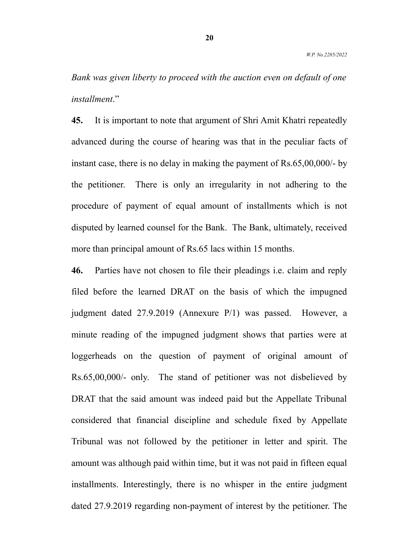*Bank was given liberty to proceed with the auction even on default of one installment*."

**45.** It is important to note that argument of Shri Amit Khatri repeatedly advanced during the course of hearing was that in the peculiar facts of instant case, there is no delay in making the payment of Rs.65,00,000/- by the petitioner. There is only an irregularity in not adhering to the procedure of payment of equal amount of installments which is not disputed by learned counsel for the Bank. The Bank, ultimately, received more than principal amount of Rs.65 lacs within 15 months.

**46.** Parties have not chosen to file their pleadings i.e. claim and reply filed before the learned DRAT on the basis of which the impugned judgment dated 27.9.2019 (Annexure P/1) was passed. However, a minute reading of the impugned judgment shows that parties were at loggerheads on the question of payment of original amount of Rs.65,00,000/- only. The stand of petitioner was not disbelieved by DRAT that the said amount was indeed paid but the Appellate Tribunal considered that financial discipline and schedule fixed by Appellate Tribunal was not followed by the petitioner in letter and spirit. The amount was although paid within time, but it was not paid in fifteen equal installments. Interestingly, there is no whisper in the entire judgment dated 27.9.2019 regarding non-payment of interest by the petitioner. The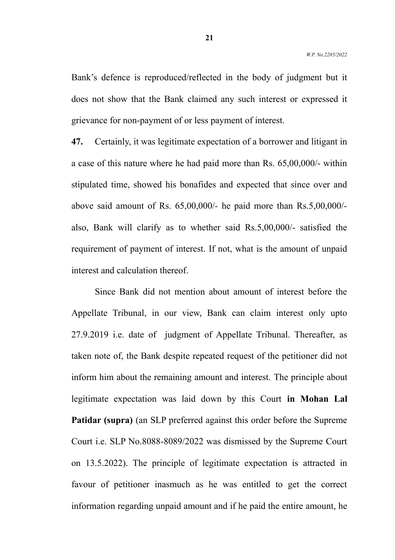Bank's defence is reproduced/reflected in the body of judgment but it does not show that the Bank claimed any such interest or expressed it grievance for non-payment of or less payment of interest.

**47.** Certainly, it was legitimate expectation of a borrower and litigant in a case of this nature where he had paid more than Rs. 65,00,000/- within stipulated time, showed his bonafides and expected that since over and above said amount of Rs. 65,00,000/- he paid more than Rs.5,00,000/ also, Bank will clarify as to whether said Rs.5,00,000/- satisfied the requirement of payment of interest. If not, what is the amount of unpaid interest and calculation thereof.

Since Bank did not mention about amount of interest before the Appellate Tribunal, in our view, Bank can claim interest only upto 27.9.2019 i.e. date of judgment of Appellate Tribunal. Thereafter, as taken note of, the Bank despite repeated request of the petitioner did not inform him about the remaining amount and interest. The principle about legitimate expectation was laid down by this Court **in Mohan Lal Patidar (supra)** (an SLP preferred against this order before the Supreme Court i.e. SLP No.8088-8089/2022 was dismissed by the Supreme Court on 13.5.2022). The principle of legitimate expectation is attracted in favour of petitioner inasmuch as he was entitled to get the correct information regarding unpaid amount and if he paid the entire amount, he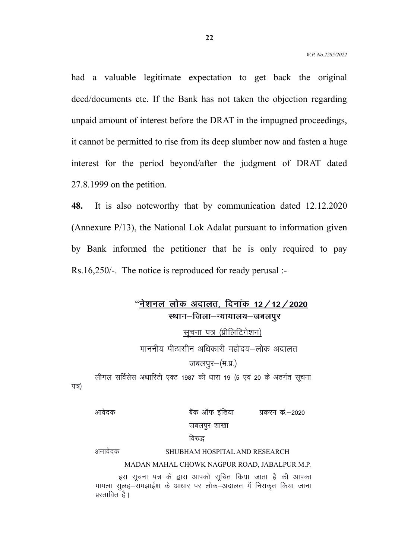had a valuable legitimate expectation to get back the original deed/documents etc. If the Bank has not taken the objection regarding unpaid amount of interest before the DRAT in the impugned proceedings, it cannot be permitted to rise from its deep slumber now and fasten a huge interest for the period beyond/after the judgment of DRAT dated 27.8.1999 on the petition.

**48.** It is also noteworthy that by communication dated 12.12.2020 (Annexure P/13), the National Lok Adalat pursuant to information given by Bank informed the petitioner that he is only required to pay Rs.16,250/-. The notice is reproduced for ready perusal :-

# "नेशनल लोक अदालत, दिनांक 12 **/** 12 **/** 2020 स्थान–जिला–न्यायालय–जबलपर

<u>सूचना पत्र (प्रीलिटिगेशन)</u>

माननीय पीठासीन अधिकारी महोदय–लोक अदालत

जबलपुर–(म.प्र.)

लीगल सर्विसेस अथारिटी एक्ट 1987 की धारा 19 (5 एवं 20 के अंतर्गत सूचना पत्र)

<u>आवेदक बैंक ऑफ इंडिया प्रकरन कं –2020 </u>

#### जबलपुर शाखा

#### विरुद्ध

# vukosnd SHUBHAM HOSPITAL AND RESEARCH

#### MADAN MAHAL CHOWK NAGPUR ROAD, JABALPUR M.P.

इस सचना पत्र के द्वारा आपको सचित किया जाता है की आपका ekeya di karaman dan dikerak dikerak di dana dikenali dan kekali dan kekali dan kekali dan keramana tersebut d<br>Kekali di kekali dan dikenali dari keramanan di kekali dan dikenali dan dikerakan di dalam di dalam di dalam d प्रस्तावित है।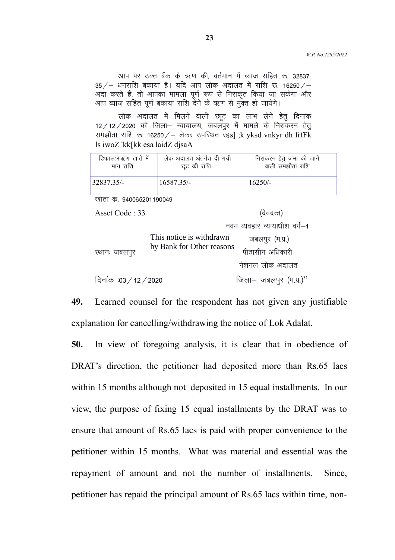आप पर उक्त बैंक के ऋण की, वर्तमान में व्याज सहित रू. 32837.  $35/-$  धनराशि बकाया है। यदि आप लोक अदालत में राशि रू. 16250/-अदा करते है, तो आपका मामला पूर्ण रूप से निराकृत किया जा सकेगा और आप व्याज सहित पूर्ण बकाया राशि देने के ऋण से मुक्त हो जायेंगे।

लोक अदालत में मिलने वाली छाूट का लाभ लेने हेतु दिनांक 12/12/2020 को जिला- न्यायालय, जबलपुर में मामले के निराकरन हेतु समझौता राशि रू. 16250 / – लेकर उपस्थित रह $s]$ ; k yksd vnkyr dh frfFk ls iwoZ 'kk[kk esa laidZ djsaA

| डिफाल्टरऋण खाते में | लेक अदालत अंतर्गत दी गयी | निराकरन हेतु जमा की जाने |
|---------------------|--------------------------|--------------------------|
| मांग राशि           | छूट की राशि              | वाली समझौता राशि         |
| 32837.35/-          | $16587.35/-$             | $16250/-$                |

खाता कं. 940065201190049

 $\text{Asset Code}: 33$   $\qquad \qquad \text{(dagger)}$ 

नवम व्यवहार न्यायाधीश वर्ग $-1$ 

| स्थानः जबलपुर          | This notice is withdrawn<br>by Bank for Other reasons | जबलपुर (म.प्र.)<br>पीठासीन अधिकारी |
|------------------------|-------------------------------------------------------|------------------------------------|
|                        |                                                       | नेशनल लोक अदालत                    |
| दिनांक :03 / 12 / 2020 |                                                       | जिला— जबलपुर (म.प्र.)"             |

**49.** Learned counsel for the respondent has not given any justifiable explanation for cancelling/withdrawing the notice of Lok Adalat.

**50.** In view of foregoing analysis, it is clear that in obedience of DRAT's direction, the petitioner had deposited more than Rs.65 lacs within 15 months although not deposited in 15 equal installments. In our view, the purpose of fixing 15 equal installments by the DRAT was to ensure that amount of Rs.65 lacs is paid with proper convenience to the petitioner within 15 months. What was material and essential was the repayment of amount and not the number of installments. Since, petitioner has repaid the principal amount of Rs.65 lacs within time, non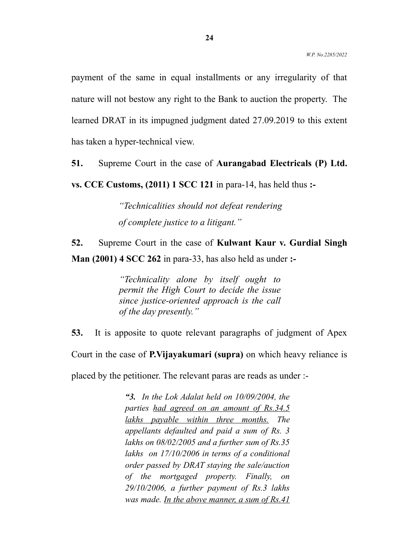payment of the same in equal installments or any irregularity of that nature will not bestow any right to the Bank to auction the property. The learned DRAT in its impugned judgment dated 27.09.2019 to this extent has taken a hyper-technical view.

**51.** Supreme Court in the case of **Aurangabad Electricals (P) Ltd.**

**vs. CCE Customs, (2011) 1 SCC 121** in para-14, has held thus **:-** 

*"Technicalities should not defeat rendering of complete justice to a litigant."*

**52.** Supreme Court in the case of **Kulwant Kaur v. Gurdial Singh Man (2001) 4 SCC 262** in para-33, has also held as under **:-**

> *"Technicality alone by itself ought to permit the High Court to decide the issue since justice-oriented approach is the call of the day presently."*

**53.** It is apposite to quote relevant paragraphs of judgment of Apex Court in the case of **P.Vijayakumari (supra)** on which heavy reliance is

placed by the petitioner. The relevant paras are reads as under :-

*"3. In the Lok Adalat held on 10/09/2004, the parties had agreed on an amount of Rs.34.5 lakhs payable within three months. The appellants defaulted and paid a sum of Rs. 3 lakhs on 08/02/2005 and a further sum of Rs.35 lakhs on 17/10/2006 in terms of a conditional order passed by DRAT staying the sale/auction of the mortgaged property. Finally, on 29/10/2006, a further payment of Rs.3 lakhs was made. In the above manner, a sum of Rs.41*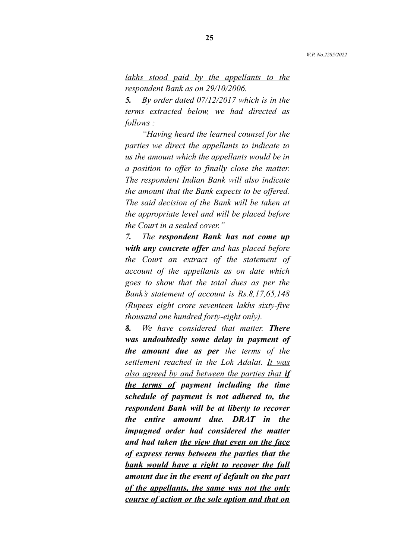# *lakhs stood paid by the appellants to the respondent Bank as on 29/10/2006.*

*5. By order dated 07/12/2017 which is in the terms extracted below, we had directed as follows :*

*"Having heard the learned counsel for the parties we direct the appellants to indicate to us the amount which the appellants would be in a position to offer to finally close the matter. The respondent Indian Bank will also indicate the amount that the Bank expects to be offered. The said decision of the Bank will be taken at the appropriate level and will be placed before the Court in a sealed cover."*

*7. The respondent Bank has not come up with any concrete offer and has placed before the Court an extract of the statement of account of the appellants as on date which goes to show that the total dues as per the Bank's statement of account is Rs.8,17,65,148 (Rupees eight crore seventeen lakhs sixty-five thousand one hundred forty-eight only).*

*8. We have considered that matter. There was undoubtedly some delay in payment of the amount due as per the terms of the settlement reached in the Lok Adalat. It was also agreed by and between the parties that if the terms of payment including the time schedule of payment is not adhered to, the respondent Bank will be at liberty to recover the entire amount due. DRAT in the impugned order had considered the matter and had taken the view that even on the face of express terms between the parties that the bank would have a right to recover the full amount due in the event of default on the part of the appellants, the same was not the only course of action or the sole option and that on*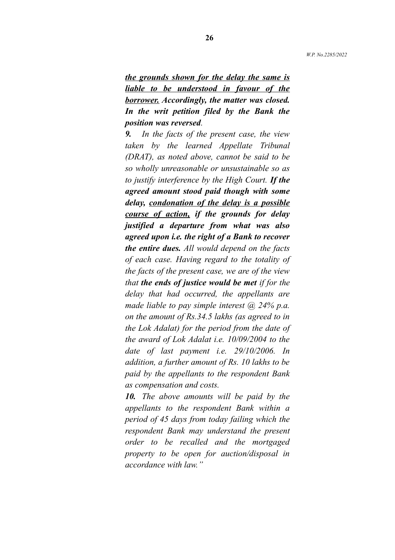*the grounds shown for the delay the same is liable to be understood in favour of the borrower. Accordingly, the matter was closed. In the writ petition filed by the Bank the position was reversed.*

*9. In the facts of the present case, the view taken by the learned Appellate Tribunal (DRAT), as noted above, cannot be said to be so wholly unreasonable or unsustainable so as to justify interference by the High Court. If the agreed amount stood paid though with some delay, condonation of the delay is a possible course of action, if the grounds for delay justified a departure from what was also agreed upon i.e. the right of a Bank to recover the entire dues. All would depend on the facts of each case. Having regard to the totality of the facts of the present case, we are of the view that the ends of justice would be met if for the delay that had occurred, the appellants are made liable to pay simple interest @ 24% p.a. on the amount of Rs.34.5 lakhs (as agreed to in the Lok Adalat) for the period from the date of the award of Lok Adalat i.e. 10/09/2004 to the date of last payment i.e. 29/10/2006. In addition, a further amount of Rs. 10 lakhs to be paid by the appellants to the respondent Bank as compensation and costs.*

*10. The above amounts will be paid by the appellants to the respondent Bank within a period of 45 days from today failing which the respondent Bank may understand the present order to be recalled and the mortgaged property to be open for auction/disposal in accordance with law."*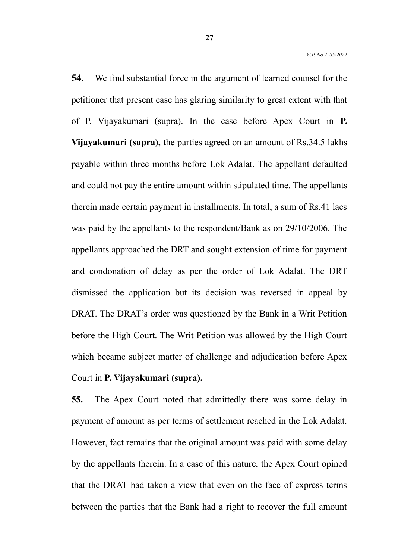**54.** We find substantial force in the argument of learned counsel for the petitioner that present case has glaring similarity to great extent with that of P. Vijayakumari (supra). In the case before Apex Court in **P. Vijayakumari (supra),** the parties agreed on an amount of Rs.34.5 lakhs payable within three months before Lok Adalat. The appellant defaulted and could not pay the entire amount within stipulated time. The appellants therein made certain payment in installments. In total, a sum of Rs.41 lacs was paid by the appellants to the respondent/Bank as on 29/10/2006. The appellants approached the DRT and sought extension of time for payment and condonation of delay as per the order of Lok Adalat. The DRT dismissed the application but its decision was reversed in appeal by DRAT. The DRAT's order was questioned by the Bank in a Writ Petition before the High Court. The Writ Petition was allowed by the High Court which became subject matter of challenge and adjudication before Apex

# Court in **P. Vijayakumari (supra).**

**55.** The Apex Court noted that admittedly there was some delay in payment of amount as per terms of settlement reached in the Lok Adalat. However, fact remains that the original amount was paid with some delay by the appellants therein. In a case of this nature, the Apex Court opined that the DRAT had taken a view that even on the face of express terms between the parties that the Bank had a right to recover the full amount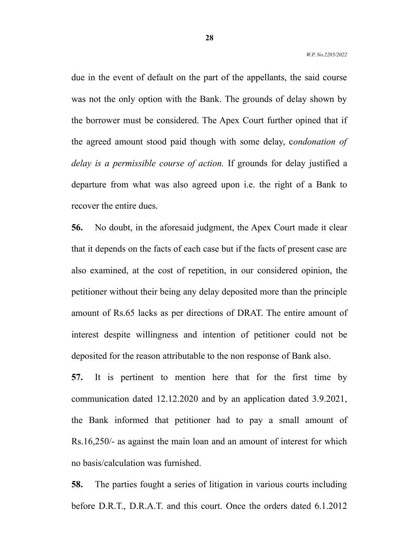due in the event of default on the part of the appellants, the said course was not the only option with the Bank. The grounds of delay shown by the borrower must be considered. The Apex Court further opined that if the agreed amount stood paid though with some delay, c*ondonation of delay is a permissible course of action.* If grounds for delay justified a departure from what was also agreed upon i.e. the right of a Bank to recover the entire dues.

**56.** No doubt, in the aforesaid judgment, the Apex Court made it clear that it depends on the facts of each case but if the facts of present case are also examined, at the cost of repetition, in our considered opinion, the petitioner without their being any delay deposited more than the principle amount of Rs.65 lacks as per directions of DRAT. The entire amount of interest despite willingness and intention of petitioner could not be deposited for the reason attributable to the non response of Bank also.

**57.** It is pertinent to mention here that for the first time by communication dated 12.12.2020 and by an application dated 3.9.2021, the Bank informed that petitioner had to pay a small amount of Rs.16,250/- as against the main loan and an amount of interest for which no basis/calculation was furnished.

**58.** The parties fought a series of litigation in various courts including before D.R.T., D.R.A.T. and this court. Once the orders dated 6.1.2012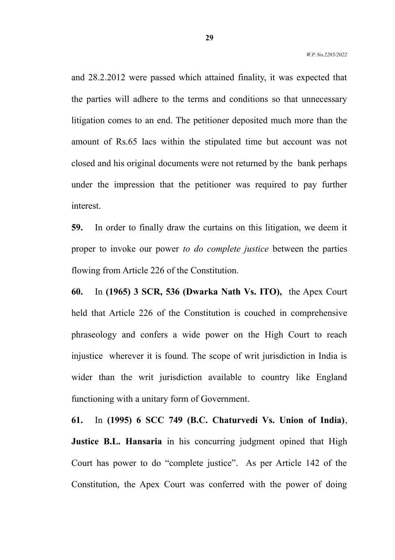and 28.2.2012 were passed which attained finality, it was expected that the parties will adhere to the terms and conditions so that unnecessary litigation comes to an end. The petitioner deposited much more than the amount of Rs.65 lacs within the stipulated time but account was not closed and his original documents were not returned by the bank perhaps under the impression that the petitioner was required to pay further interest.

**59.** In order to finally draw the curtains on this litigation, we deem it proper to invoke our power *to do complete justice* between the parties flowing from Article 226 of the Constitution.

**60.** In **(1965) 3 SCR, 536 (Dwarka Nath Vs. ITO),** the Apex Court held that Article 226 of the Constitution is couched in comprehensive phraseology and confers a wide power on the High Court to reach injustice wherever it is found. The scope of writ jurisdiction in India is wider than the writ jurisdiction available to country like England functioning with a unitary form of Government.

**61.** In **(1995) 6 SCC 749 (B.C. Chaturvedi Vs. Union of India)**, **Justice B.L. Hansaria** in his concurring judgment opined that High Court has power to do "complete justice". As per Article 142 of the Constitution, the Apex Court was conferred with the power of doing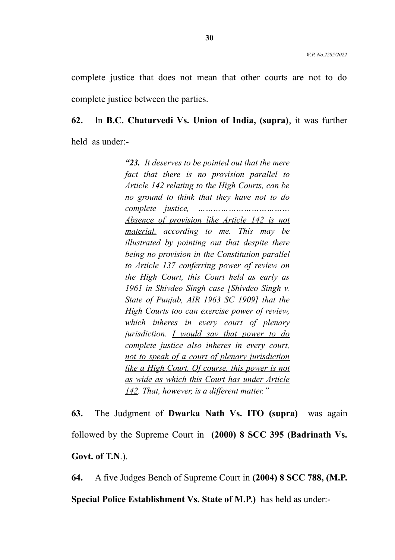complete justice that does not mean that other courts are not to do complete justice between the parties.

# **62.** In **B.C. Chaturvedi Vs. Union of India, (supra)**, it was further held as under:-

*"23. It deserves to be pointed out that the mere fact that there is no provision parallel to Article 142 relating to the High Courts, can be no ground to think that they have not to do complete justice, ……………………………… Absence of provision like Article 142 is not material, according to me. This may be illustrated by pointing out that despite there being no provision in the Constitution parallel to Article 137 conferring power of review on the High Court, this Court held as early as 1961 in Shivdeo Singh case [Shivdeo Singh v. State of Punjab, AIR 1963 SC 1909] that the High Courts too can exercise power of review, which inheres in every court of plenary jurisdiction. I would say that power to do complete justice also inheres in every court, not to speak of a court of plenary jurisdiction like a High Court. Of course, this power is not as wide as which this Court has under Article 142. That, however, is a different matter."*

**63.** The Judgment of **Dwarka Nath Vs. ITO (supra)** was again followed by the Supreme Court in **(2000) 8 SCC 395 (Badrinath Vs. Govt. of T.N**.).

**64.** A five Judges Bench of Supreme Court in **(2004) 8 SCC 788, (M.P. Special Police Establishment Vs. State of M.P.)** has held as under:-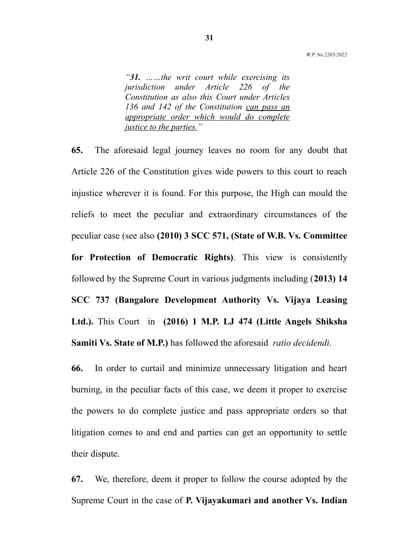*"31. ……the writ court while exercising its jurisdiction under Article 226 of the Constitution as also this Court under Articles 136 and 142 of the Constitution can pass an appropriate order which would do complete justice to the parties."*

**65.** The aforesaid legal journey leaves no room for any doubt that Article 226 of the Constitution gives wide powers to this court to reach injustice wherever it is found. For this purpose, the High can mould the reliefs to meet the peculiar and extraordinary circumstances of the peculiar case (see also **(2010) 3 SCC 571, (State of W.B. Vs. Committee for Protection of Democratic Rights)**. This view is consistently followed by the Supreme Court in various judgments including (**2013) 14 SCC 737 (Bangalore Development Authority Vs. Vijaya Leasing Ltd.).** This Court in **(2016) 1 M.P. LJ 474 (Little Angels Shiksha Samiti Vs. State of M.P.)** has followed the aforesaid *ratio decidendi*.

**66.** In order to curtail and minimize unnecessary litigation and heart burning, in the peculiar facts of this case, we deem it proper to exercise the powers to do complete justice and pass appropriate orders so that litigation comes to and end and parties can get an opportunity to settle their dispute.

**67.** We, therefore, deem it proper to follow the course adopted by the Supreme Court in the case of **P. Vijayakumari and another Vs. Indian**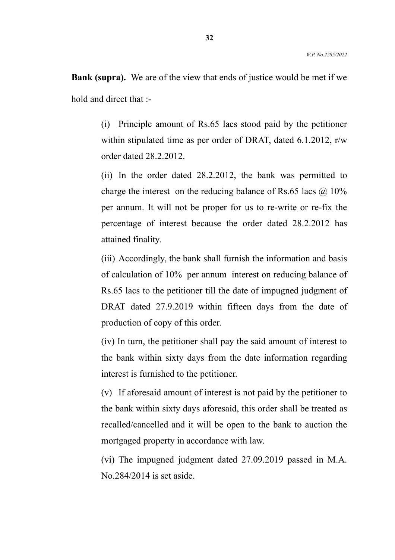**Bank (supra).** We are of the view that ends of justice would be met if we hold and direct that :-

> (i) Principle amount of Rs.65 lacs stood paid by the petitioner within stipulated time as per order of DRAT, dated 6.1.2012, r/w order dated 28.2.2012.

> (ii) In the order dated 28.2.2012, the bank was permitted to charge the interest on the reducing balance of Rs.65 lacs  $\omega$  10% per annum. It will not be proper for us to re-write or re-fix the percentage of interest because the order dated 28.2.2012 has attained finality.

> (iii) Accordingly, the bank shall furnish the information and basis of calculation of 10% per annum interest on reducing balance of Rs.65 lacs to the petitioner till the date of impugned judgment of DRAT dated 27.9.2019 within fifteen days from the date of production of copy of this order.

> (iv) In turn, the petitioner shall pay the said amount of interest to the bank within sixty days from the date information regarding interest is furnished to the petitioner.

> (v) If aforesaid amount of interest is not paid by the petitioner to the bank within sixty days aforesaid, this order shall be treated as recalled/cancelled and it will be open to the bank to auction the mortgaged property in accordance with law.

> (vi) The impugned judgment dated 27.09.2019 passed in M.A. No.284/2014 is set aside.